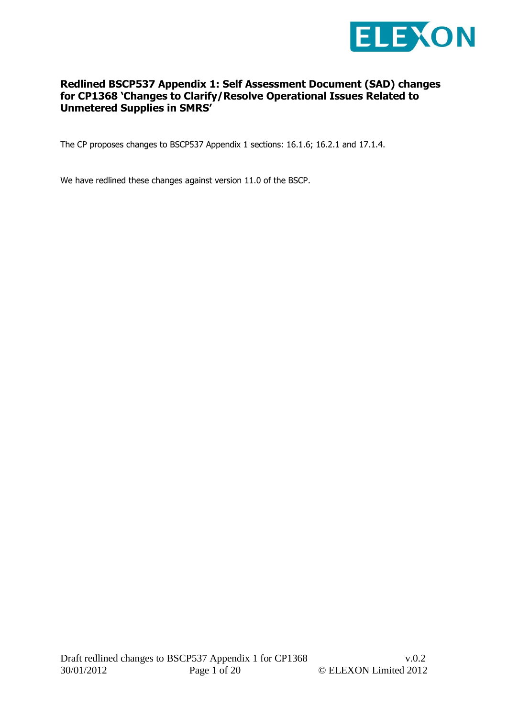

# **Redlined BSCP537 Appendix 1: Self Assessment Document (SAD) changes for CP1368 'Changes to Clarify/Resolve Operational Issues Related to Unmetered Supplies in SMRS'**

The CP proposes changes to BSCP537 Appendix 1 sections: 16.1.6; 16.2.1 and 17.1.4.

We have redlined these changes against version 11.0 of the BSCP.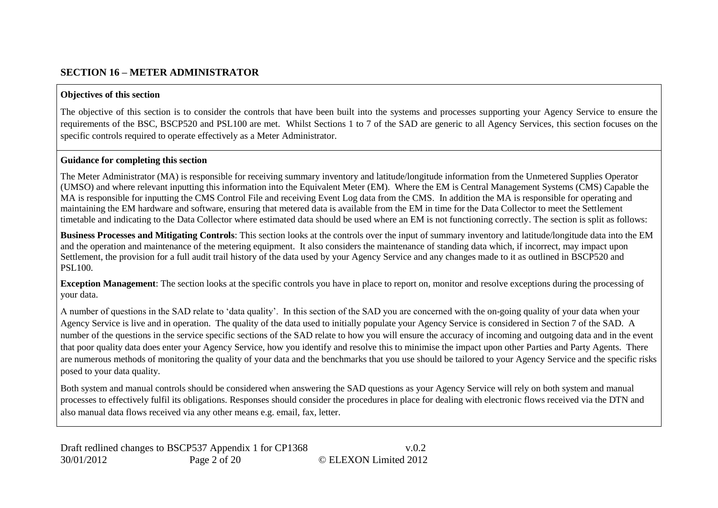#### **SECTION 16 – METER ADMINISTRATOR**

#### **Objectives of this section**

The objective of this section is to consider the controls that have been built into the systems and processes supporting your Agency Service to ensure the requirements of the BSC, BSCP520 and PSL100 are met. Whilst Sections 1 to 7 of the SAD are generic to all Agency Services, this section focuses on the specific controls required to operate effectively as a Meter Administrator.

#### **Guidance for completing this section**

The Meter Administrator (MA) is responsible for receiving summary inventory and latitude/longitude information from the Unmetered Supplies Operator (UMSO) and where relevant inputting this information into the Equivalent Meter (EM). Where the EM is Central Management Systems (CMS) Capable the MA is responsible for inputting the CMS Control File and receiving Event Log data from the CMS. In addition the MA is responsible for operating and maintaining the EM hardware and software, ensuring that metered data is available from the EM in time for the Data Collector to meet the Settlement timetable and indicating to the Data Collector where estimated data should be used where an EM is not functioning correctly. The section is split as follows:

**Business Processes and Mitigating Controls**: This section looks at the controls over the input of summary inventory and latitude/longitude data into the EM and the operation and maintenance of the metering equipment. It also considers the maintenance of standing data which, if incorrect, may impact upon Settlement, the provision for a full audit trail history of the data used by your Agency Service and any changes made to it as outlined in BSCP520 and PSL100.

**Exception Management**: The section looks at the specific controls you have in place to report on, monitor and resolve exceptions during the processing of your data.

A number of questions in the SAD relate to 'data quality'. In this section of the SAD you are concerned with the on-going quality of your data when your Agency Service is live and in operation. The quality of the data used to initially populate your Agency Service is considered in Section 7 of the SAD. A number of the questions in the service specific sections of the SAD relate to how you will ensure the accuracy of incoming and outgoing data and in the event that poor quality data does enter your Agency Service, how you identify and resolve this to minimise the impact upon other Parties and Party Agents. There are numerous methods of monitoring the quality of your data and the benchmarks that you use should be tailored to your Agency Service and the specific risks posed to your data quality.

Both system and manual controls should be considered when answering the SAD questions as your Agency Service will rely on both system and manual processes to effectively fulfil its obligations. Responses should consider the procedures in place for dealing with electronic flows received via the DTN and also manual data flows received via any other means e.g. email, fax, letter.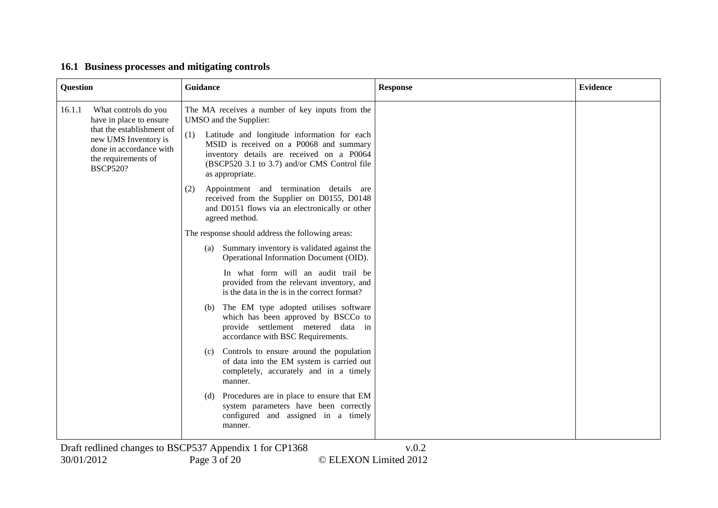| Question |                                                                                                                                                                           | Guidance                                                                                                                                                                                                                                                                                   | <b>Response</b> | <b>Evidence</b> |
|----------|---------------------------------------------------------------------------------------------------------------------------------------------------------------------------|--------------------------------------------------------------------------------------------------------------------------------------------------------------------------------------------------------------------------------------------------------------------------------------------|-----------------|-----------------|
| 16.1.1   | What controls do you<br>have in place to ensure<br>that the establishment of<br>new UMS Inventory is<br>done in accordance with<br>the requirements of<br><b>BSCP520?</b> | The MA receives a number of key inputs from the<br>UMSO and the Supplier:<br>(1)<br>Latitude and longitude information for each<br>MSID is received on a P0068 and summary<br>inventory details are received on a P0064<br>(BSCP520 3.1 to 3.7) and/or CMS Control file<br>as appropriate. |                 |                 |
|          |                                                                                                                                                                           | Appointment and termination details are<br>(2)<br>received from the Supplier on D0155, D0148<br>and D0151 flows via an electronically or other<br>agreed method.                                                                                                                           |                 |                 |
|          |                                                                                                                                                                           | The response should address the following areas:                                                                                                                                                                                                                                           |                 |                 |
|          |                                                                                                                                                                           | Summary inventory is validated against the<br>(a)<br>Operational Information Document (OID).                                                                                                                                                                                               |                 |                 |
|          |                                                                                                                                                                           | In what form will an audit trail be<br>provided from the relevant inventory, and<br>is the data in the is in the correct format?                                                                                                                                                           |                 |                 |
|          |                                                                                                                                                                           | The EM type adopted utilises software<br>(b)<br>which has been approved by BSCCo to<br>provide settlement metered data in<br>accordance with BSC Requirements.                                                                                                                             |                 |                 |
|          |                                                                                                                                                                           | Controls to ensure around the population<br>(c)<br>of data into the EM system is carried out<br>completely, accurately and in a timely<br>manner.                                                                                                                                          |                 |                 |
|          |                                                                                                                                                                           | Procedures are in place to ensure that EM<br>(d)<br>system parameters have been correctly<br>configured and assigned in a timely<br>manner.                                                                                                                                                |                 |                 |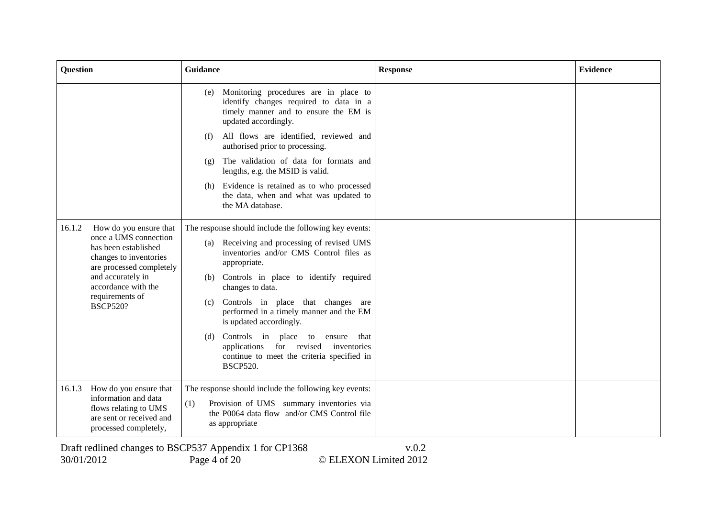| <b>Question</b> |                                                                                                                                                                                       | Guidance                                                                                                                                                                  | <b>Response</b> | <b>Evidence</b> |
|-----------------|---------------------------------------------------------------------------------------------------------------------------------------------------------------------------------------|---------------------------------------------------------------------------------------------------------------------------------------------------------------------------|-----------------|-----------------|
|                 |                                                                                                                                                                                       | Monitoring procedures are in place to<br>(e)<br>identify changes required to data in a<br>timely manner and to ensure the EM is<br>updated accordingly.                   |                 |                 |
|                 |                                                                                                                                                                                       | All flows are identified, reviewed and<br>(f)<br>authorised prior to processing.                                                                                          |                 |                 |
|                 |                                                                                                                                                                                       | The validation of data for formats and<br>(g)<br>lengths, e.g. the MSID is valid.                                                                                         |                 |                 |
|                 |                                                                                                                                                                                       | Evidence is retained as to who processed<br>(h)<br>the data, when and what was updated to<br>the MA database.                                                             |                 |                 |
| 16.1.2          | How do you ensure that                                                                                                                                                                | The response should include the following key events:                                                                                                                     |                 |                 |
|                 | once a UMS connection<br>has been established<br>changes to inventories<br>are processed completely<br>and accurately in<br>accordance with the<br>requirements of<br><b>BSCP520?</b> | Receiving and processing of revised UMS<br>(a)<br>inventories and/or CMS Control files as<br>appropriate.                                                                 |                 |                 |
|                 |                                                                                                                                                                                       | Controls in place to identify required<br>(b)<br>changes to data.                                                                                                         |                 |                 |
|                 |                                                                                                                                                                                       | Controls in place that changes are<br>(c)<br>performed in a timely manner and the EM<br>is updated accordingly.                                                           |                 |                 |
|                 |                                                                                                                                                                                       | Controls in place to ensure<br>that<br>(d)<br>for revised<br>applications<br>inventories<br>continue to meet the criteria specified in<br><b>BSCP520.</b>                 |                 |                 |
| 16.1.3          | How do you ensure that<br>information and data<br>flows relating to UMS<br>are sent or received and<br>processed completely,                                                          | The response should include the following key events:<br>(1)<br>Provision of UMS summary inventories via<br>the P0064 data flow and/or CMS Control file<br>as appropriate |                 |                 |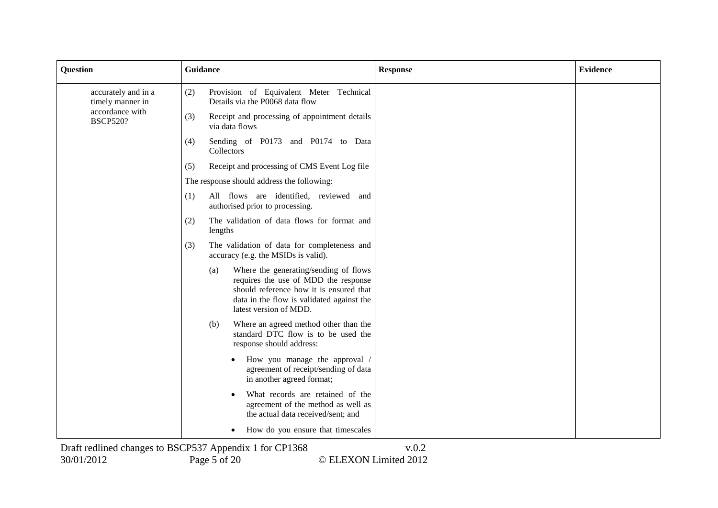| <b>Question</b>                         | Guidance<br><b>Response</b>                                                                                                                                                                            | <b>Evidence</b> |
|-----------------------------------------|--------------------------------------------------------------------------------------------------------------------------------------------------------------------------------------------------------|-----------------|
| accurately and in a<br>timely manner in | Provision of Equivalent Meter Technical<br>(2)<br>Details via the P0068 data flow                                                                                                                      |                 |
| accordance with<br><b>BSCP520?</b>      | (3)<br>Receipt and processing of appointment details<br>via data flows                                                                                                                                 |                 |
|                                         | Sending of P0173 and P0174 to Data<br>(4)<br>Collectors                                                                                                                                                |                 |
|                                         | Receipt and processing of CMS Event Log file<br>(5)                                                                                                                                                    |                 |
|                                         | The response should address the following:                                                                                                                                                             |                 |
|                                         | All flows are identified, reviewed and<br>(1)<br>authorised prior to processing.                                                                                                                       |                 |
|                                         | The validation of data flows for format and<br>(2)<br>lengths                                                                                                                                          |                 |
|                                         | The validation of data for completeness and<br>(3)<br>accuracy (e.g. the MSIDs is valid).                                                                                                              |                 |
|                                         | Where the generating/sending of flows<br>(a)<br>requires the use of MDD the response<br>should reference how it is ensured that<br>data in the flow is validated against the<br>latest version of MDD. |                 |
|                                         | Where an agreed method other than the<br>(b)<br>standard DTC flow is to be used the<br>response should address:                                                                                        |                 |
|                                         | How you manage the approval /<br>agreement of receipt/sending of data<br>in another agreed format;                                                                                                     |                 |
|                                         | What records are retained of the<br>agreement of the method as well as<br>the actual data received/sent; and                                                                                           |                 |
|                                         | How do you ensure that timescales                                                                                                                                                                      |                 |
|                                         | $Droft$ radiined abonges to $DRCD527$ Appendix 1 for $CD1268$<br>$\cdot$ 0 0                                                                                                                           |                 |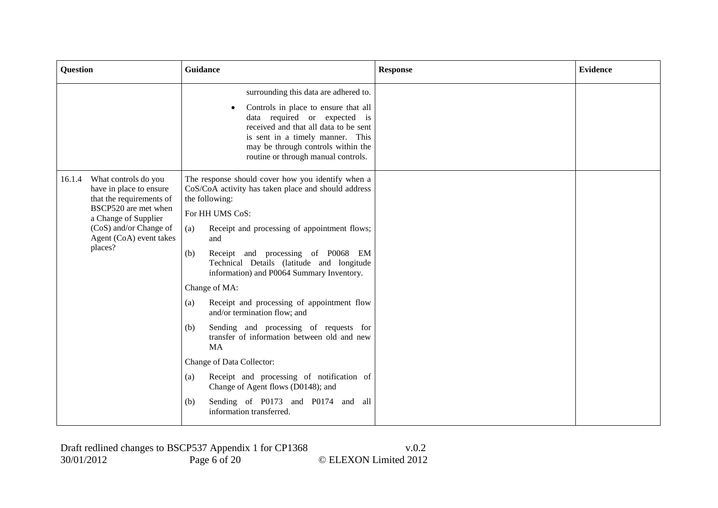| <b>Question</b>                                                                                                                                                                                       | Guidance                                                                                                                                                                                                                                                                                                                                                                                                                                                                                                                                                                                                                                                                                                                                                              | <b>Response</b> | <b>Evidence</b> |
|-------------------------------------------------------------------------------------------------------------------------------------------------------------------------------------------------------|-----------------------------------------------------------------------------------------------------------------------------------------------------------------------------------------------------------------------------------------------------------------------------------------------------------------------------------------------------------------------------------------------------------------------------------------------------------------------------------------------------------------------------------------------------------------------------------------------------------------------------------------------------------------------------------------------------------------------------------------------------------------------|-----------------|-----------------|
|                                                                                                                                                                                                       | surrounding this data are adhered to.<br>Controls in place to ensure that all<br>data required or expected is<br>received and that all data to be sent<br>is sent in a timely manner. This<br>may be through controls within the<br>routine or through manual controls.                                                                                                                                                                                                                                                                                                                                                                                                                                                                                               |                 |                 |
| What controls do you<br>16.1.4<br>have in place to ensure<br>that the requirements of<br>BSCP520 are met when<br>a Change of Supplier<br>(CoS) and/or Change of<br>Agent (CoA) event takes<br>places? | The response should cover how you identify when a<br>CoS/CoA activity has taken place and should address<br>the following:<br>For HH UMS CoS:<br>(a)<br>Receipt and processing of appointment flows;<br>and<br>(b)<br>Receipt and processing of P0068 EM<br>Technical Details (latitude and longitude<br>information) and P0064 Summary Inventory.<br>Change of MA:<br>Receipt and processing of appointment flow<br>(a)<br>and/or termination flow; and<br>Sending and processing of requests for<br>(b)<br>transfer of information between old and new<br><b>MA</b><br>Change of Data Collector:<br>Receipt and processing of notification of<br>(a)<br>Change of Agent flows (D0148); and<br>Sending of P0173 and P0174 and all<br>(b)<br>information transferred. |                 |                 |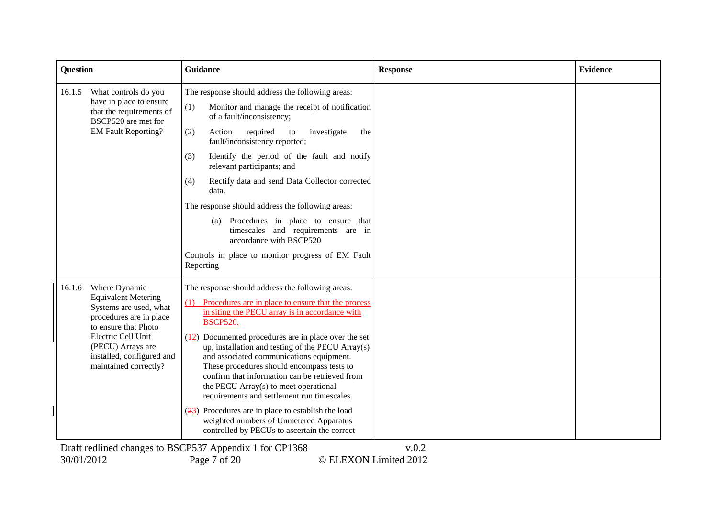| <b>Question</b>                                                                                                                                                                                                                     | Guidance                                                                                                                                                                                                                                                                                                                                                                                                                                                                                                                                                                                                                                                                                                                                                                    | <b>Response</b> | <b>Evidence</b> |
|-------------------------------------------------------------------------------------------------------------------------------------------------------------------------------------------------------------------------------------|-----------------------------------------------------------------------------------------------------------------------------------------------------------------------------------------------------------------------------------------------------------------------------------------------------------------------------------------------------------------------------------------------------------------------------------------------------------------------------------------------------------------------------------------------------------------------------------------------------------------------------------------------------------------------------------------------------------------------------------------------------------------------------|-----------------|-----------------|
| What controls do you<br>16.1.5<br>have in place to ensure<br>that the requirements of<br>BSCP520 are met for<br><b>EM Fault Reporting?</b>                                                                                          | The response should address the following areas:<br>(1)<br>Monitor and manage the receipt of notification<br>of a fault/inconsistency;<br>required<br>(2)<br>Action<br>investigate<br>to<br>the<br>fault/inconsistency reported;<br>Identify the period of the fault and notify<br>(3)<br>relevant participants; and<br>Rectify data and send Data Collector corrected<br>(4)<br>data.<br>The response should address the following areas:<br>Procedures in place to ensure that<br>(a)<br>timescales and requirements are in<br>accordance with BSCP520<br>Controls in place to monitor progress of EM Fault<br>Reporting                                                                                                                                                  |                 |                 |
| Where Dynamic<br>16.1.6<br><b>Equivalent Metering</b><br>Systems are used, what<br>procedures are in place<br>to ensure that Photo<br>Electric Cell Unit<br>(PECU) Arrays are<br>installed, configured and<br>maintained correctly? | The response should address the following areas:<br>Procedures are in place to ensure that the process<br>in siting the PECU array is in accordance with<br><b>BSCP520.</b><br>$(\frac{12}{2})$ Documented procedures are in place over the set<br>up, installation and testing of the PECU Array(s)<br>and associated communications equipment.<br>These procedures should encompass tests to<br>confirm that information can be retrieved from<br>the PECU Array(s) to meet operational<br>requirements and settlement run timescales.<br>$\left(\frac{23}{2}\right)$ Procedures are in place to establish the load<br>weighted numbers of Unmetered Apparatus<br>controlled by PECUs to ascertain the correct<br>Draft redlined changes to BSCP537 Appendix 1 for CP1368 | v.0.2           |                 |

30/01/2012 Page 7 of 20 © ELEXON Limited 2012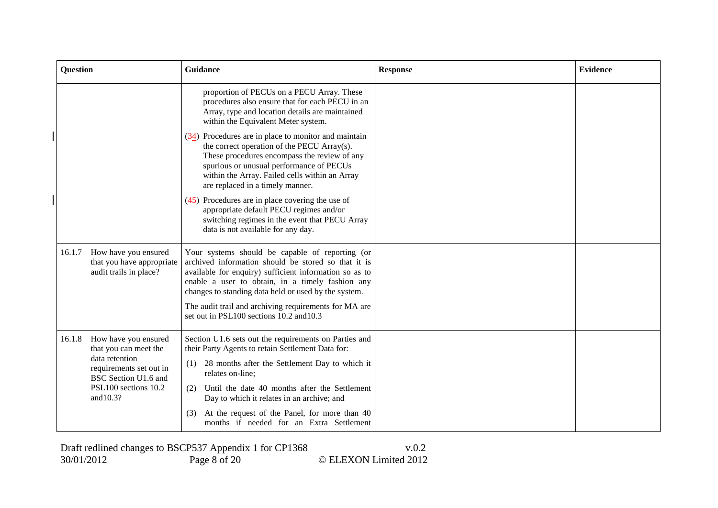| <b>Question</b>                                                                                                                                                   | Guidance                                                                                                                                                                                                                                                                                                                                                                                                                                                                                                                                                                                                                                                                                         | <b>Response</b> | <b>Evidence</b> |
|-------------------------------------------------------------------------------------------------------------------------------------------------------------------|--------------------------------------------------------------------------------------------------------------------------------------------------------------------------------------------------------------------------------------------------------------------------------------------------------------------------------------------------------------------------------------------------------------------------------------------------------------------------------------------------------------------------------------------------------------------------------------------------------------------------------------------------------------------------------------------------|-----------------|-----------------|
|                                                                                                                                                                   | proportion of PECUs on a PECU Array. These<br>procedures also ensure that for each PECU in an<br>Array, type and location details are maintained<br>within the Equivalent Meter system.<br>$\left(\frac{34}{2}\right)$ Procedures are in place to monitor and maintain<br>the correct operation of the PECU Array(s).<br>These procedures encompass the review of any<br>spurious or unusual performance of PECUs<br>within the Array. Failed cells within an Array<br>are replaced in a timely manner.<br>$(45)$ Procedures are in place covering the use of<br>appropriate default PECU regimes and/or<br>switching regimes in the event that PECU Array<br>data is not available for any day. |                 |                 |
| How have you ensured<br>16.1.7<br>that you have appropriate<br>audit trails in place?                                                                             | Your systems should be capable of reporting (or<br>archived information should be stored so that it is<br>available for enquiry) sufficient information so as to<br>enable a user to obtain, in a timely fashion any<br>changes to standing data held or used by the system.<br>The audit trail and archiving requirements for MA are<br>set out in PSL100 sections 10.2 and 10.3                                                                                                                                                                                                                                                                                                                |                 |                 |
| How have you ensured<br>16.1.8<br>that you can meet the<br>data retention<br>requirements set out in<br>BSC Section U1.6 and<br>PSL100 sections 10.2<br>and 10.3? | Section U1.6 sets out the requirements on Parties and<br>their Party Agents to retain Settlement Data for:<br>28 months after the Settlement Day to which it<br>(1)<br>relates on-line;<br>Until the date 40 months after the Settlement<br>(2)<br>Day to which it relates in an archive; and<br>At the request of the Panel, for more than 40<br>(3)<br>months if needed for an Extra Settlement                                                                                                                                                                                                                                                                                                |                 |                 |

Draft redlined changes to BSCP537 Appendix 1 for CP1368 v.0.2 30/01/2012 Page 8 of 20 © ELEXON Limited 2012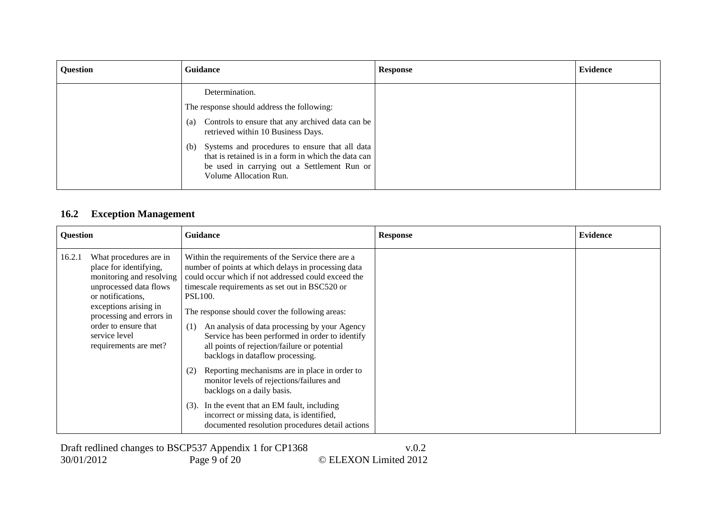| Question | Guidance                                                                                                                                                                              | <b>Response</b> | <b>Evidence</b> |
|----------|---------------------------------------------------------------------------------------------------------------------------------------------------------------------------------------|-----------------|-----------------|
|          | Determination.<br>The response should address the following:                                                                                                                          |                 |                 |
|          | Controls to ensure that any archived data can be<br>(a)<br>retrieved within 10 Business Days.                                                                                         |                 |                 |
|          | Systems and procedures to ensure that all data<br>(b)<br>that is retained is in a form in which the data can<br>be used in carrying out a Settlement Run or<br>Volume Allocation Run. |                 |                 |

# **16.2 Exception Management**

| <b>Question</b> |                                                                                                                                                                                                                                                    | <b>Guidance</b>                                                                                                                                                                                                                                                                                                                                                                                                                                                                                                                                                                                                                                                                                                                                                              | <b>Response</b> | <b>Evidence</b> |
|-----------------|----------------------------------------------------------------------------------------------------------------------------------------------------------------------------------------------------------------------------------------------------|------------------------------------------------------------------------------------------------------------------------------------------------------------------------------------------------------------------------------------------------------------------------------------------------------------------------------------------------------------------------------------------------------------------------------------------------------------------------------------------------------------------------------------------------------------------------------------------------------------------------------------------------------------------------------------------------------------------------------------------------------------------------------|-----------------|-----------------|
| 16.2.1          | What procedures are in<br>place for identifying,<br>monitoring and resolving<br>unprocessed data flows<br>or notifications,<br>exceptions arising in<br>processing and errors in<br>order to ensure that<br>service level<br>requirements are met? | Within the requirements of the Service there are a<br>number of points at which delays in processing data<br>could occur which if not addressed could exceed the<br>timescale requirements as set out in BSC520 or<br><b>PSL100.</b><br>The response should cover the following areas:<br>An analysis of data processing by your Agency<br>(1)<br>Service has been performed in order to identify<br>all points of rejection/failure or potential<br>backlogs in dataflow processing.<br>Reporting mechanisms are in place in order to<br>(2)<br>monitor levels of rejections/failures and<br>backlogs on a daily basis.<br>In the event that an EM fault, including<br>(3).<br>incorrect or missing data, is identified,<br>documented resolution procedures detail actions |                 |                 |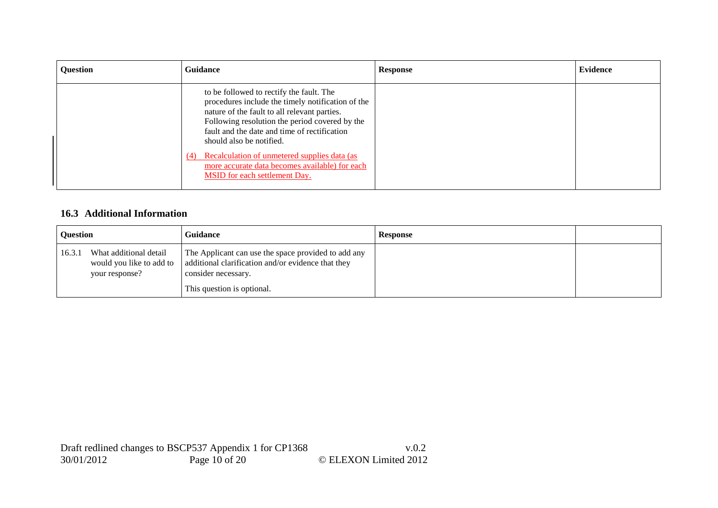| Question | <b>Guidance</b>                                                                                                                                                                                                                                                                                                                                                                                                    | <b>Response</b> | Evidence |
|----------|--------------------------------------------------------------------------------------------------------------------------------------------------------------------------------------------------------------------------------------------------------------------------------------------------------------------------------------------------------------------------------------------------------------------|-----------------|----------|
|          | to be followed to rectify the fault. The<br>procedures include the timely notification of the<br>nature of the fault to all relevant parties.<br>Following resolution the period covered by the<br>fault and the date and time of rectification<br>should also be notified.<br>(4) Recalculation of unmetered supplies data (as<br>more accurate data becomes available) for each<br>MSID for each settlement Day. |                 |          |

# **16.3 Additional Information**

| <b>Ouestion</b> |                                          | Guidance                                                                                                                                                                                            | <b>Response</b> |  |
|-----------------|------------------------------------------|-----------------------------------------------------------------------------------------------------------------------------------------------------------------------------------------------------|-----------------|--|
| 16.3.1          | What additional detail<br>your response? | The Applicant can use the space provided to add any<br>would you like to add to $\parallel$ additional clarification and/or evidence that they<br>consider necessary.<br>This question is optional. |                 |  |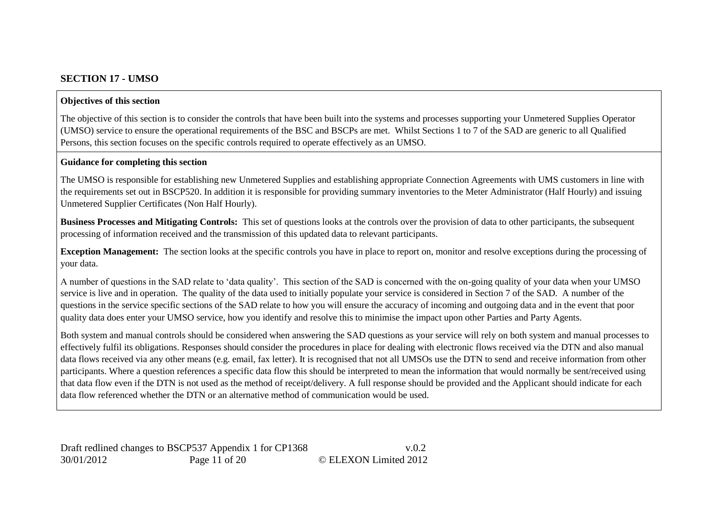# **SECTION 17 - UMSO**

#### **Objectives of this section**

The objective of this section is to consider the controls that have been built into the systems and processes supporting your Unmetered Supplies Operator (UMSO) service to ensure the operational requirements of the BSC and BSCPs are met. Whilst Sections 1 to 7 of the SAD are generic to all Qualified Persons, this section focuses on the specific controls required to operate effectively as an UMSO.

#### **Guidance for completing this section**

The UMSO is responsible for establishing new Unmetered Supplies and establishing appropriate Connection Agreements with UMS customers in line with the requirements set out in BSCP520. In addition it is responsible for providing summary inventories to the Meter Administrator (Half Hourly) and issuing Unmetered Supplier Certificates (Non Half Hourly).

**Business Processes and Mitigating Controls:** This set of questions looks at the controls over the provision of data to other participants, the subsequent processing of information received and the transmission of this updated data to relevant participants.

**Exception Management:** The section looks at the specific controls you have in place to report on, monitor and resolve exceptions during the processing of your data.

A number of questions in the SAD relate to 'data quality'. This section of the SAD is concerned with the on-going quality of your data when your UMSO service is live and in operation. The quality of the data used to initially populate your service is considered in Section 7 of the SAD. A number of the questions in the service specific sections of the SAD relate to how you will ensure the accuracy of incoming and outgoing data and in the event that poor quality data does enter your UMSO service, how you identify and resolve this to minimise the impact upon other Parties and Party Agents.

Both system and manual controls should be considered when answering the SAD questions as your service will rely on both system and manual processes to effectively fulfil its obligations. Responses should consider the procedures in place for dealing with electronic flows received via the DTN and also manual data flows received via any other means (e.g. email, fax letter). It is recognised that not all UMSOs use the DTN to send and receive information from other participants. Where a question references a specific data flow this should be interpreted to mean the information that would normally be sent/received using that data flow even if the DTN is not used as the method of receipt/delivery. A full response should be provided and the Applicant should indicate for each data flow referenced whether the DTN or an alternative method of communication would be used.

Draft redlined changes to BSCP537 Appendix 1 for CP1368 v.0.2 30/01/2012 Page 11 of 20 © ELEXON Limited 2012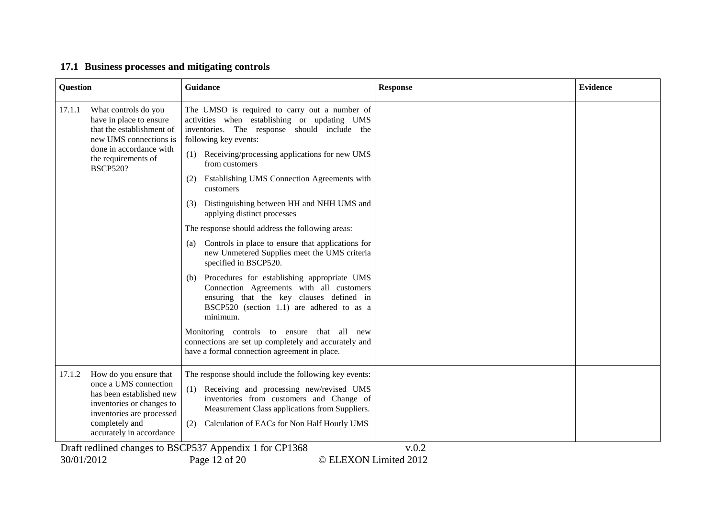# **17.1 Business processes and mitigating controls**

| Question                                                                                                                                                                                      | <b>Guidance</b>                                                                                                                                                                                                                                                                                                                                                                                                                                                                                                                                                                                                                                                                                                                                                                                                                                                                                                                                              | <b>Response</b> | <b>Evidence</b> |
|-----------------------------------------------------------------------------------------------------------------------------------------------------------------------------------------------|--------------------------------------------------------------------------------------------------------------------------------------------------------------------------------------------------------------------------------------------------------------------------------------------------------------------------------------------------------------------------------------------------------------------------------------------------------------------------------------------------------------------------------------------------------------------------------------------------------------------------------------------------------------------------------------------------------------------------------------------------------------------------------------------------------------------------------------------------------------------------------------------------------------------------------------------------------------|-----------------|-----------------|
| 17.1.1<br>What controls do you<br>have in place to ensure<br>that the establishment of<br>new UMS connections is<br>done in accordance with<br>the requirements of<br><b>BSCP520?</b>         | The UMSO is required to carry out a number of<br>activities when establishing or updating UMS<br>inventories. The response should include the<br>following key events:<br>Receiving/processing applications for new UMS<br>(1)<br>from customers<br>Establishing UMS Connection Agreements with<br>(2)<br>customers<br>Distinguishing between HH and NHH UMS and<br>(3)<br>applying distinct processes<br>The response should address the following areas:<br>Controls in place to ensure that applications for<br>(a)<br>new Unmetered Supplies meet the UMS criteria<br>specified in BSCP520.<br>Procedures for establishing appropriate UMS<br>(b)<br>Connection Agreements with all customers<br>ensuring that the key clauses defined in<br>BSCP520 (section 1.1) are adhered to as a<br>minimum.<br>Monitoring controls to ensure that all new<br>connections are set up completely and accurately and<br>have a formal connection agreement in place. |                 |                 |
| 17.1.2<br>How do you ensure that<br>once a UMS connection<br>has been established new<br>inventories or changes to<br>inventories are processed<br>completely and<br>accurately in accordance | The response should include the following key events:<br>(1) Receiving and processing new/revised UMS<br>inventories from customers and Change of<br>Measurement Class applications from Suppliers.<br>Calculation of EACs for Non Half Hourly UMS<br>(2)<br>Draft redlined changes to BSCP537 Appendix 1 for CP1368                                                                                                                                                                                                                                                                                                                                                                                                                                                                                                                                                                                                                                         | v.0.2           |                 |

30/01/2012 Page 12 of 20 © ELEXON Limited 2012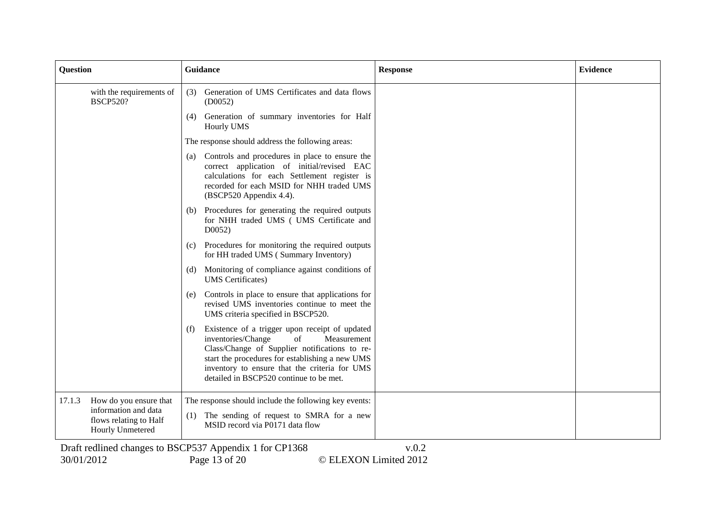| <b>Question</b>                                                                                               | Guidance                                                                                                                                                                                                                                                                                         | <b>Response</b> | <b>Evidence</b> |
|---------------------------------------------------------------------------------------------------------------|--------------------------------------------------------------------------------------------------------------------------------------------------------------------------------------------------------------------------------------------------------------------------------------------------|-----------------|-----------------|
| with the requirements of<br><b>BSCP520?</b>                                                                   | Generation of UMS Certificates and data flows<br>(3)<br>(D0052)                                                                                                                                                                                                                                  |                 |                 |
|                                                                                                               | Generation of summary inventories for Half<br>(4)<br>Hourly UMS                                                                                                                                                                                                                                  |                 |                 |
|                                                                                                               | The response should address the following areas:                                                                                                                                                                                                                                                 |                 |                 |
|                                                                                                               | Controls and procedures in place to ensure the<br>(a)<br>correct application of initial/revised EAC<br>calculations for each Settlement register is<br>recorded for each MSID for NHH traded UMS<br>(BSCP520 Appendix 4.4).                                                                      |                 |                 |
|                                                                                                               | Procedures for generating the required outputs<br>(b)<br>for NHH traded UMS (UMS Certificate and<br>D0052                                                                                                                                                                                        |                 |                 |
|                                                                                                               | Procedures for monitoring the required outputs<br>$\left( c\right)$<br>for HH traded UMS (Summary Inventory)                                                                                                                                                                                     |                 |                 |
|                                                                                                               | Monitoring of compliance against conditions of<br>(d)<br><b>UMS</b> Certificates)                                                                                                                                                                                                                |                 |                 |
|                                                                                                               | Controls in place to ensure that applications for<br>(e)<br>revised UMS inventories continue to meet the<br>UMS criteria specified in BSCP520.                                                                                                                                                   |                 |                 |
|                                                                                                               | Existence of a trigger upon receipt of updated<br>(f)<br>inventories/Change<br>of<br>Measurement<br>Class/Change of Supplier notifications to re-<br>start the procedures for establishing a new UMS<br>inventory to ensure that the criteria for UMS<br>detailed in BSCP520 continue to be met. |                 |                 |
| 17.1.3<br>How do you ensure that<br>information and data<br>flows relating to Half<br><b>Hourly Unmetered</b> | The response should include the following key events:<br>(1) The sending of request to SMRA for a new<br>MSID record via P0171 data flow                                                                                                                                                         |                 |                 |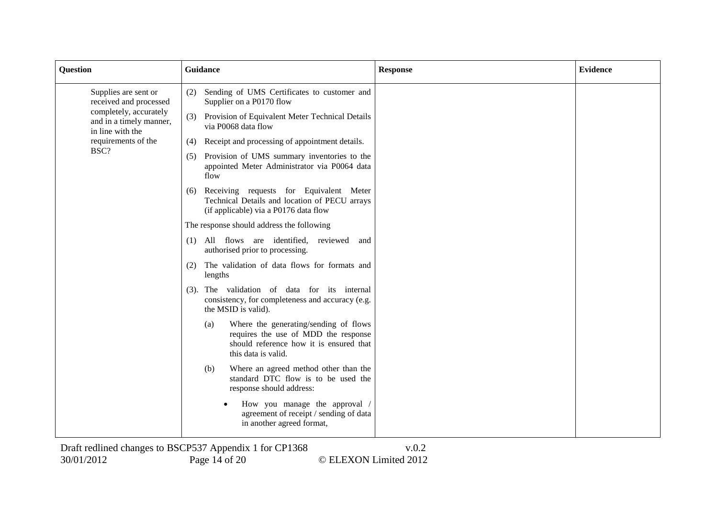| <b>Question</b>                                                                                                         | <b>Guidance</b>                                                                                                                                        | <b>Response</b> | <b>Evidence</b> |
|-------------------------------------------------------------------------------------------------------------------------|--------------------------------------------------------------------------------------------------------------------------------------------------------|-----------------|-----------------|
| Supplies are sent or<br>received and processed<br>completely, accurately<br>and in a timely manner,<br>in line with the | Sending of UMS Certificates to customer and<br>(2)<br>Supplier on a P0170 flow                                                                         |                 |                 |
|                                                                                                                         | Provision of Equivalent Meter Technical Details<br>(3)<br>via P0068 data flow                                                                          |                 |                 |
| requirements of the                                                                                                     | Receipt and processing of appointment details.<br>(4)                                                                                                  |                 |                 |
| BSC?                                                                                                                    | Provision of UMS summary inventories to the<br>(5)<br>appointed Meter Administrator via P0064 data<br>flow                                             |                 |                 |
|                                                                                                                         | Receiving requests for Equivalent Meter<br>(6)<br>Technical Details and location of PECU arrays<br>(if applicable) via a P0176 data flow               |                 |                 |
|                                                                                                                         | The response should address the following                                                                                                              |                 |                 |
|                                                                                                                         | (1) All flows are identified, reviewed<br>and<br>authorised prior to processing.                                                                       |                 |                 |
|                                                                                                                         | The validation of data flows for formats and<br>(2)<br>lengths                                                                                         |                 |                 |
|                                                                                                                         | The validation of data for its internal<br>(3).<br>consistency, for completeness and accuracy (e.g.<br>the MSID is valid).                             |                 |                 |
|                                                                                                                         | Where the generating/sending of flows<br>(a)<br>requires the use of MDD the response<br>should reference how it is ensured that<br>this data is valid. |                 |                 |
|                                                                                                                         | Where an agreed method other than the<br>(b)<br>standard DTC flow is to be used the<br>response should address:                                        |                 |                 |
|                                                                                                                         | How you manage the approval /<br>agreement of receipt / sending of data<br>in another agreed format,                                                   |                 |                 |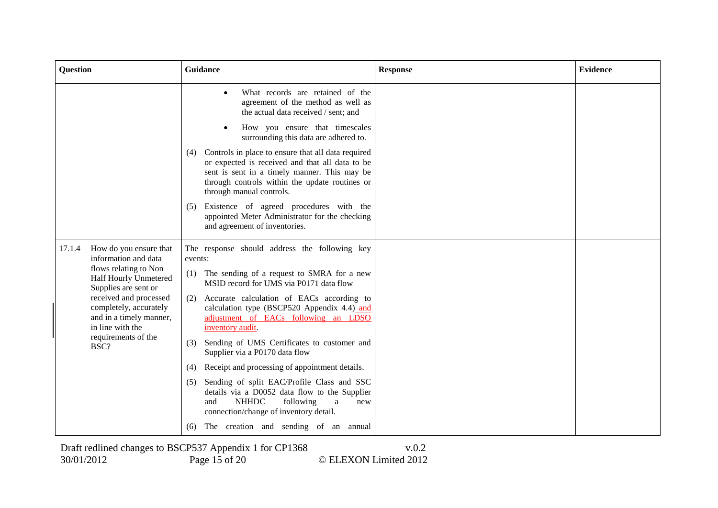| <b>Question</b>                                                                                 | <b>Guidance</b>                                                                                                                                                                                                                            | <b>Response</b> | <b>Evidence</b> |
|-------------------------------------------------------------------------------------------------|--------------------------------------------------------------------------------------------------------------------------------------------------------------------------------------------------------------------------------------------|-----------------|-----------------|
|                                                                                                 | What records are retained of the<br>agreement of the method as well as<br>the actual data received / sent; and                                                                                                                             |                 |                 |
|                                                                                                 | How you ensure that timescales<br>surrounding this data are adhered to.                                                                                                                                                                    |                 |                 |
|                                                                                                 | Controls in place to ensure that all data required<br>(4)<br>or expected is received and that all data to be<br>sent is sent in a timely manner. This may be<br>through controls within the update routines or<br>through manual controls. |                 |                 |
|                                                                                                 | Existence of agreed procedures with the<br>(5)<br>appointed Meter Administrator for the checking<br>and agreement of inventories.                                                                                                          |                 |                 |
| 17.1.4<br>How do you ensure that<br>information and data                                        | The response should address the following key<br>events:                                                                                                                                                                                   |                 |                 |
| flows relating to Non<br>Half Hourly Unmetered<br>Supplies are sent or                          | The sending of a request to SMRA for a new<br>(1)<br>MSID record for UMS via P0171 data flow                                                                                                                                               |                 |                 |
| received and processed<br>completely, accurately<br>and in a timely manner,<br>in line with the | Accurate calculation of EACs according to<br>(2)<br>calculation type (BSCP520 Appendix 4.4) and<br>adjustment of EACs following an LDSO<br>inventory audit.                                                                                |                 |                 |
| requirements of the<br>BSC?                                                                     | Sending of UMS Certificates to customer and<br>(3)<br>Supplier via a P0170 data flow                                                                                                                                                       |                 |                 |
|                                                                                                 | Receipt and processing of appointment details.<br>(4)                                                                                                                                                                                      |                 |                 |
|                                                                                                 | Sending of split EAC/Profile Class and SSC<br>(5)<br>details via a D0052 data flow to the Supplier<br><b>NHHDC</b><br>following<br>and<br>a<br>new<br>connection/change of inventory detail.                                               |                 |                 |
|                                                                                                 | The creation and sending of an annual<br>(6)                                                                                                                                                                                               |                 |                 |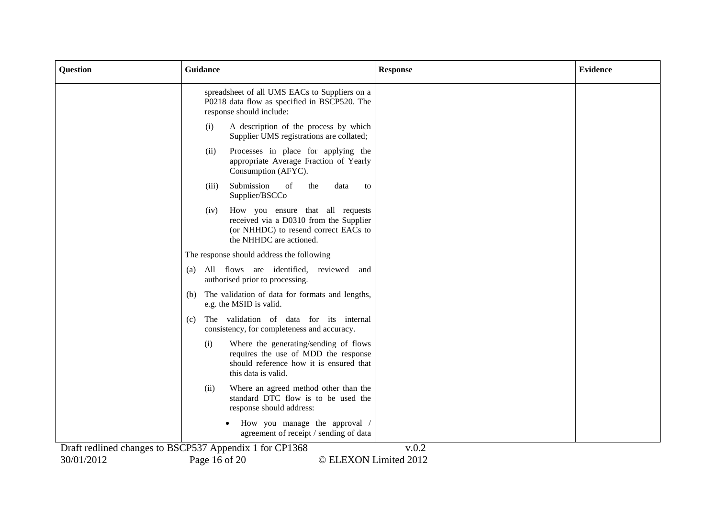| <b>Question</b> | Guidance                                                                                                                                               | <b>Response</b> | <b>Evidence</b> |
|-----------------|--------------------------------------------------------------------------------------------------------------------------------------------------------|-----------------|-----------------|
|                 | spreadsheet of all UMS EACs to Suppliers on a<br>P0218 data flow as specified in BSCP520. The<br>response should include:                              |                 |                 |
|                 | A description of the process by which<br>(i)<br>Supplier UMS registrations are collated;                                                               |                 |                 |
|                 | Processes in place for applying the<br>(ii)<br>appropriate Average Fraction of Yearly<br>Consumption (AFYC).                                           |                 |                 |
|                 | Submission<br>of<br>(iii)<br>the<br>data<br>to<br>Supplier/BSCCo                                                                                       |                 |                 |
|                 | How you ensure that all requests<br>(iv)<br>received via a D0310 from the Supplier<br>(or NHHDC) to resend correct EACs to<br>the NHHDC are actioned.  |                 |                 |
|                 | The response should address the following                                                                                                              |                 |                 |
|                 | All flows are identified, reviewed and<br>(a)<br>authorised prior to processing.                                                                       |                 |                 |
|                 | The validation of data for formats and lengths,<br>(b)<br>e.g. the MSID is valid.                                                                      |                 |                 |
|                 | The validation of data for its internal<br>(c)<br>consistency, for completeness and accuracy.                                                          |                 |                 |
|                 | Where the generating/sending of flows<br>(i)<br>requires the use of MDD the response<br>should reference how it is ensured that<br>this data is valid. |                 |                 |
|                 | Where an agreed method other than the<br>(ii)<br>standard DTC flow is to be used the<br>response should address:                                       |                 |                 |
|                 | How you manage the approval /<br>agreement of receipt / sending of data                                                                                |                 |                 |
|                 | Draft redlined changes to BSCP537 Appendix 1 for CP1368                                                                                                | v.0.2           |                 |
| 30/01/2012      | © ELEXON Limited 2012<br>Page 16 of 20                                                                                                                 |                 |                 |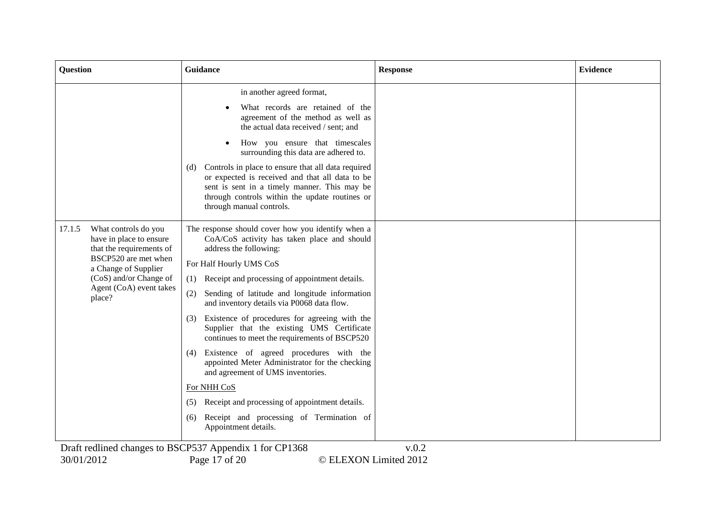| <b>Question</b>                                                                                                                                                                                                                                                                                                               | Guidance                                                                                                                                                                                                                                                                                                                                                                                                                                                                                                                                                                                                                                                                                                                                                                                                                        | <b>Response</b> | <b>Evidence</b> |
|-------------------------------------------------------------------------------------------------------------------------------------------------------------------------------------------------------------------------------------------------------------------------------------------------------------------------------|---------------------------------------------------------------------------------------------------------------------------------------------------------------------------------------------------------------------------------------------------------------------------------------------------------------------------------------------------------------------------------------------------------------------------------------------------------------------------------------------------------------------------------------------------------------------------------------------------------------------------------------------------------------------------------------------------------------------------------------------------------------------------------------------------------------------------------|-----------------|-----------------|
|                                                                                                                                                                                                                                                                                                                               | in another agreed format,<br>What records are retained of the<br>agreement of the method as well as<br>the actual data received / sent; and<br>How you ensure that timescales<br>surrounding this data are adhered to.<br>Controls in place to ensure that all data required<br>(d)<br>or expected is received and that all data to be<br>sent is sent in a timely manner. This may be<br>through controls within the update routines or                                                                                                                                                                                                                                                                                                                                                                                        |                 |                 |
| 17.1.5<br>What controls do you<br>have in place to ensure<br>that the requirements of<br>BSCP520 are met when<br>a Change of Supplier<br>(CoS) and/or Change of<br>Agent (CoA) event takes<br>place?<br>$\mathbf{D} = \mathbf{D}$ and $\mathbf{M}^* = \mathbf{M}$ and $\mathbf{L} = \mathbf{L}$ and $\mathbf{L} = \mathbf{L}$ | through manual controls.<br>The response should cover how you identify when a<br>CoA/CoS activity has taken place and should<br>address the following:<br>For Half Hourly UMS CoS<br>Receipt and processing of appointment details.<br>(1)<br>(2)<br>Sending of latitude and longitude information<br>and inventory details via P0068 data flow.<br>Existence of procedures for agreeing with the<br>(3)<br>Supplier that the existing UMS Certificate<br>continues to meet the requirements of BSCP520<br>Existence of agreed procedures with the<br>(4)<br>appointed Meter Administrator for the checking<br>and agreement of UMS inventories.<br>For NHH CoS<br>Receipt and processing of appointment details.<br>(5)<br>Receipt and processing of Termination of<br>(6)<br>Appointment details.<br>$DCDF27 A = 1.5$ $D1260$ | $\Omega$        |                 |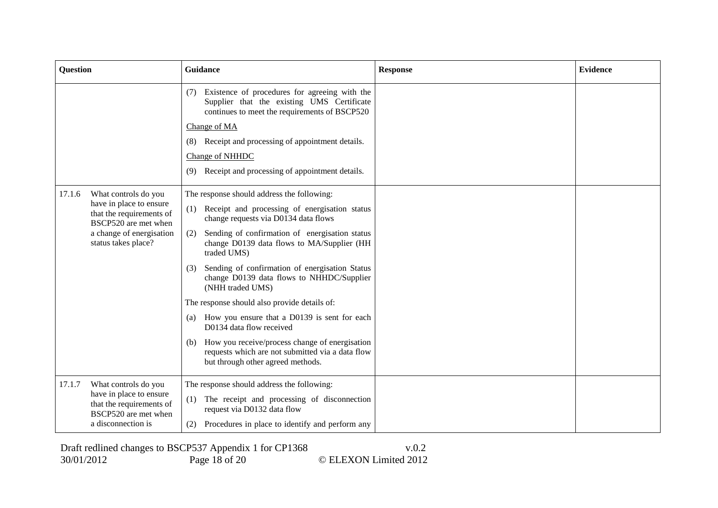| <b>Question</b>                                                             | Guidance                                                                                                                                            | <b>Response</b> | <b>Evidence</b> |
|-----------------------------------------------------------------------------|-----------------------------------------------------------------------------------------------------------------------------------------------------|-----------------|-----------------|
|                                                                             | Existence of procedures for agreeing with the<br>(7)<br>Supplier that the existing UMS Certificate<br>continues to meet the requirements of BSCP520 |                 |                 |
|                                                                             | Change of MA                                                                                                                                        |                 |                 |
|                                                                             | Receipt and processing of appointment details.<br>(8)                                                                                               |                 |                 |
|                                                                             | <b>Change of NHHDC</b>                                                                                                                              |                 |                 |
|                                                                             | Receipt and processing of appointment details.<br>(9)                                                                                               |                 |                 |
| 17.1.6<br>What controls do you                                              | The response should address the following:                                                                                                          |                 |                 |
| have in place to ensure<br>that the requirements of<br>BSCP520 are met when | Receipt and processing of energisation status<br>(1)<br>change requests via D0134 data flows                                                        |                 |                 |
| a change of energisation<br>status takes place?                             | Sending of confirmation of energisation status<br>(2)<br>change D0139 data flows to MA/Supplier (HH<br>traded UMS)                                  |                 |                 |
|                                                                             | Sending of confirmation of energisation Status<br>(3)<br>change D0139 data flows to NHHDC/Supplier<br>(NHH traded UMS)                              |                 |                 |
|                                                                             | The response should also provide details of:                                                                                                        |                 |                 |
|                                                                             | How you ensure that a D0139 is sent for each<br>(a)<br>D0134 data flow received                                                                     |                 |                 |
|                                                                             | How you receive/process change of energisation<br>(b)<br>requests which are not submitted via a data flow<br>but through other agreed methods.      |                 |                 |
| 17.1.7<br>What controls do you                                              | The response should address the following:                                                                                                          |                 |                 |
| have in place to ensure<br>that the requirements of<br>BSCP520 are met when | (1) The receipt and processing of disconnection<br>request via D0132 data flow                                                                      |                 |                 |
| a disconnection is                                                          | Procedures in place to identify and perform any<br>(2)                                                                                              |                 |                 |

Draft redlined changes to BSCP537 Appendix 1 for CP1368 v.0.2 30/01/2012 Page 18 of 20 © ELEXON Limited 2012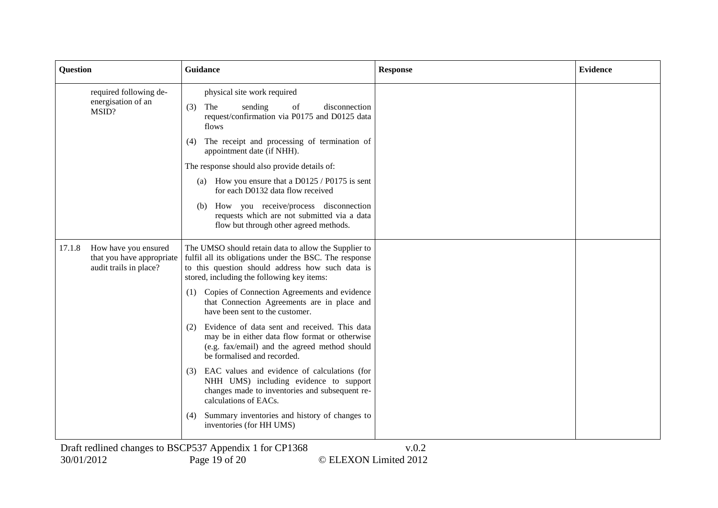| <b>Question</b> |                                                                             | Guidance                                                                                                                                                                                                                                                                                                                                                                                                                                                                                                                                                                                                                                                                                                                                                                                                            | <b>Response</b> | <b>Evidence</b> |
|-----------------|-----------------------------------------------------------------------------|---------------------------------------------------------------------------------------------------------------------------------------------------------------------------------------------------------------------------------------------------------------------------------------------------------------------------------------------------------------------------------------------------------------------------------------------------------------------------------------------------------------------------------------------------------------------------------------------------------------------------------------------------------------------------------------------------------------------------------------------------------------------------------------------------------------------|-----------------|-----------------|
|                 | required following de-<br>energisation of an<br>MSID?                       | physical site work required<br>The<br>sending<br>of<br>disconnection<br>(3)<br>request/confirmation via P0175 and D0125 data<br>flows<br>The receipt and processing of termination of<br>(4)<br>appointment date (if NHH).<br>The response should also provide details of:<br>How you ensure that a D0125 / P0175 is sent<br>(a)<br>for each D0132 data flow received<br>How you receive/process disconnection<br>(b)<br>requests which are not submitted via a data<br>flow but through other agreed methods.                                                                                                                                                                                                                                                                                                      |                 |                 |
| 17.1.8          | How have you ensured<br>that you have appropriate<br>audit trails in place? | The UMSO should retain data to allow the Supplier to<br>fulfil all its obligations under the BSC. The response<br>to this question should address how such data is<br>stored, including the following key items:<br>Copies of Connection Agreements and evidence<br>(1)<br>that Connection Agreements are in place and<br>have been sent to the customer.<br>Evidence of data sent and received. This data<br>(2)<br>may be in either data flow format or otherwise<br>(e.g. fax/email) and the agreed method should<br>be formalised and recorded.<br>EAC values and evidence of calculations (for<br>(3)<br>NHH UMS) including evidence to support<br>changes made to inventories and subsequent re-<br>calculations of EACs.<br>Summary inventories and history of changes to<br>(4)<br>inventories (for HH UMS) |                 |                 |